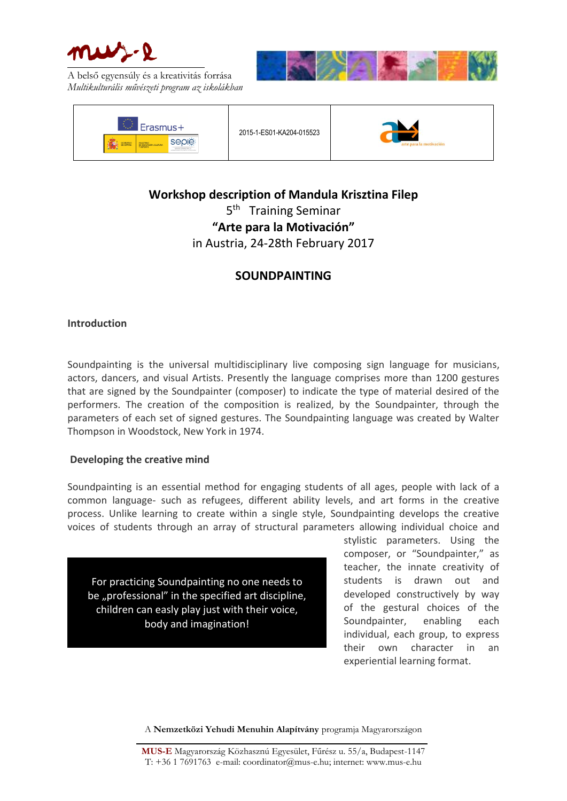





2015-1-ES01-KA204-015523



# **Workshop description of Mandula Krisztina Filep** 5<sup>th</sup> Training Seminar **"Arte para la Motivación"** in Austria, 24-28th February 2017

# **SOUNDPAINTING**

## **Introduction**

Soundpainting is the universal multidisciplinary live composing sign language for musicians, actors, dancers, and visual Artists. Presently the language comprises more than 1200 gestures that are signed by the Soundpainter (composer) to indicate the type of material desired of the performers. The creation of the composition is realized, by the Soundpainter, through the parameters of each set of signed gestures. The Soundpainting language was created by Walter Thompson in Woodstock, New York in 1974.

## **Developing the creative mind**

Soundpainting is an essential method for engaging students of all ages, people with lack of a common language- such as refugees, different ability levels, and art forms in the creative process. Unlike learning to create within a single style, Soundpainting develops the creative voices of students through an array of structural parameters allowing individual choice and

For practicing Soundpainting no one needs to be "professional" in the specified art discipline, children can easly play just with their voice, body and imagination!

stylistic parameters. Using the composer, or "Soundpainter," as teacher, the innate creativity of students is drawn out and developed constructively by way of the gestural choices of the Soundpainter, enabling each individual, each group, to express their own character in an experiential learning format.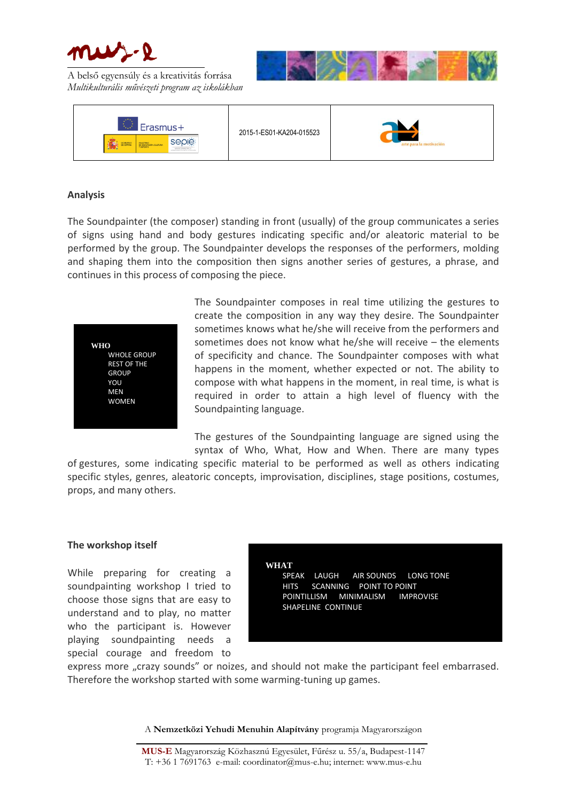





#### **Analysis**

The Soundpainter (the composer) standing in front (usually) of the group communicates a series of signs using hand and body gestures indicating specific and/or aleatoric material to be performed by the group. The Soundpainter develops the responses of the performers, molding and shaping them into the composition then signs another series of gestures, a phrase, and continues in this process of composing the piece.



The Soundpainter composes in real time utilizing the gestures to create the composition in any way they desire. The Soundpainter sometimes knows what he/she will receive from the performers and sometimes does not know what he/she will receive – the elements of specificity and chance. The Soundpainter composes with what happens in the moment, whether expected or not. The ability to compose with what happens in the moment, in real time, is what is required in order to attain a high level of fluency with the Soundpainting language.

The gestures of the Soundpainting language are signed using the syntax of Who, What, How and When. There are many types

of gestures, some indicating specific material to be performed as well as others indicating specific styles, genres, aleatoric concepts, improvisation, disciplines, stage positions, costumes, props, and many others.

#### **The workshop itself**

While preparing for creating a soundpainting workshop I tried to choose those signs that are easy to understand and to play, no matter who the participant is. However playing soundpainting needs special courage and freedom to **WHAT**

SPEAK LAUGH AIR SOUNDS LONG TONE HITS SCANNING POINT TO POINT POINTILLISM MINIMALISM IMPROVISE SHAPELINE CONTINUE

express more "crazy sounds" or noizes, and should not make the participant feel embarrased. Therefore the workshop started with some warming-tuning up games.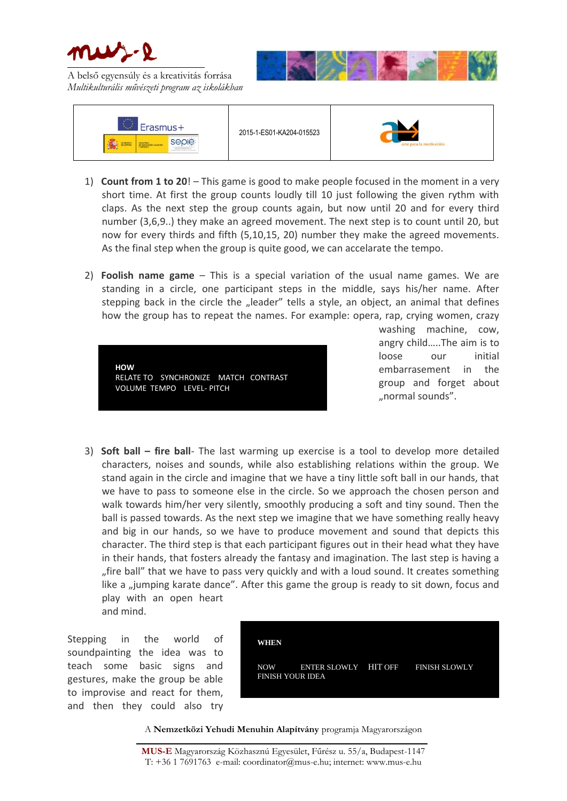





- 1) **Count from 1 to 20**! This game is good to make people focused in the moment in a very short time. At first the group counts loudly till 10 just following the given rythm with claps. As the next step the group counts again, but now until 20 and for every third number (3,6,9..) they make an agreed movement. The next step is to count until 20, but now for every thirds and fifth (5,10,15, 20) number they make the agreed movements. As the final step when the group is quite good, we can accelarate the tempo.
- 2) **Foolish name game** This is a special variation of the usual name games. We are standing in a circle, one participant steps in the middle, says his/her name. After stepping back in the circle the "leader" tells a style, an object, an animal that defines how the group has to repeat the names. For example: opera, rap, crying women, crazy



washing machine, cow, angry child…..The aim is to loose our initial embarrasement in the group and forget about "normal sounds".

3) **Soft ball – fire ball**- The last warming up exercise is a tool to develop more detailed characters, noises and sounds, while also establishing relations within the group. We stand again in the circle and imagine that we have a tiny little soft ball in our hands, that we have to pass to someone else in the circle. So we approach the chosen person and walk towards him/her very silently, smoothly producing a soft and tiny sound. Then the ball is passed towards. As the next step we imagine that we have something really heavy and big in our hands, so we have to produce movement and sound that depicts this character. The third step is that each participant figures out in their head what they have in their hands, that fosters already the fantasy and imagination. The last step is having a "fire ball" that we have to pass very quickly and with a loud sound. It creates something like a "jumping karate dance". After this game the group is ready to sit down, focus and play with an open heart and mind.

Stepping in the world of soundpainting the idea was to teach some basic signs and gestures, make the group be able to improvise and react for them, and then they could also try